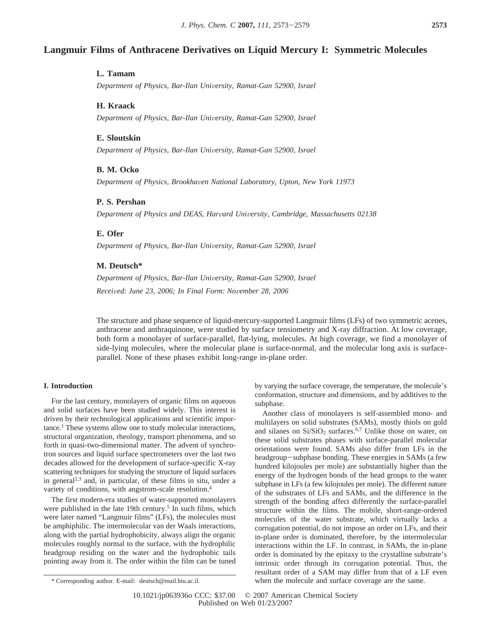# **Langmuir Films of Anthracene Derivatives on Liquid Mercury I: Symmetric Molecules**

## **L. Tamam**

*Department of Physics, Bar-Ilan Uni*V*ersity, Ramat-Gan 52900, Israel*

## **H. Kraack**

*Department of Physics, Bar-Ilan Uni*V*ersity, Ramat-Gan 52900, Israel*

## **E. Sloutskin**

*Department of Physics, Bar-Ilan Uni*V*ersity, Ramat-Gan 52900, Israel*

#### **B. M. Ocko**

*Department of Physics, Brookha*V*en National Laboratory, Upton, New York 11973*

### **P. S. Pershan**

*Department of Physics and DEAS, Harvard University, Cambridge, Massachusetts 02138* 

## **E. Ofer**

*Department of Physics, Bar-Ilan Uni*V*ersity, Ramat-Gan 52900, Israel*

### **M. Deutsch\***

*Department of Physics, Bar-Ilan Uni*V*ersity, Ramat-Gan 52900, Israel Recei*V*ed: June 23, 2006; In Final Form: No*V*ember 28, 2006*

The structure and phase sequence of liquid-mercury-supported Langmuir films (LFs) of two symmetric acenes, anthracene and anthraquinone, were studied by surface tensiometry and X-ray diffraction. At low coverage, both form a monolayer of surface-parallel, flat-lying, molecules. At high coverage, we find a monolayer of side-lying molecules, where the molecular plane is surface-normal, and the molecular long axis is surfaceparallel. None of these phases exhibit long-range in-plane order.

## **I. Introduction**

For the last century, monolayers of organic films on aqueous and solid surfaces have been studied widely. This interest is driven by their technological applications and scientific importance.1 These systems allow one to study molecular interactions, structural organization, rheology, transport phenomena, and so forth in quasi-two-dimensional matter. The advent of synchrotron sources and liquid surface spectrometers over the last two decades allowed for the development of surface-specific X-ray scattering techniques for studying the structure of liquid surfaces in general<sup>2,3</sup> and, in particular, of these films in situ, under a variety of conditions, with angstrom-scale resolution.4

The first modern-era studies of water-supported monolayers were published in the late 19th century.<sup>5</sup> In such films, which were later named "Langmuir films" (LFs), the molecules must be amphiphilic. The intermolecular van der Waals interactions, along with the partial hydrophobicity, always align the organic molecules roughly normal to the surface, with the hydrophilic headgroup residing on the water and the hydrophobic tails pointing away from it. The order within the film can be tuned

Another class of monolayers is self-assembled mono- and multilayers on solid substrates (SAMs), mostly thiols on gold and silanes on  $Si/SiO<sub>2</sub>$  surfaces.<sup>6,7</sup> Unlike those on water, on these solid substrates phases with surface-parallel molecular orientations were found. SAMs also differ from LFs in the headgroup-subphase bonding. These energies in SAMs (a few hundred kilojoules per mole) are substantially higher than the energy of the hydrogen bonds of the head groups to the water subphase in LFs (a few kilojoules per mole). The different nature of the substrates of LFs and SAMs, and the difference in the strength of the bonding affect differently the surface-parallel structure within the films. The mobile, short-range-ordered molecules of the water substrate, which virtually lacks a corrugation potential, do not impose an order on LFs, and their in-plane order is dominated, therefore, by the intermolecular interactions within the LF. In contrast, in SAMs, the in-plane order is dominated by the epitaxy to the crystalline substrate's intrinsic order through its corrugation potential. Thus, the resultant order of a SAM may differ from that of a LF even \* Corresponding author. E-mail: deutsch@mail.biu.ac.il. when the molecule and surface coverage are the same.

by varying the surface coverage, the temperature, the molecule's conformation, structure and dimensions, and by additives to the subphase.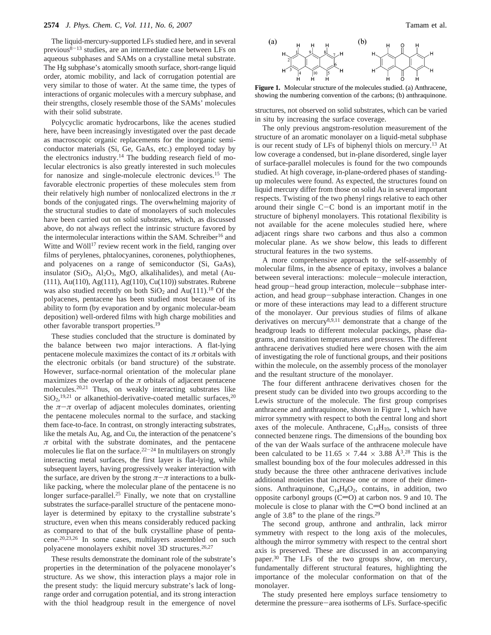The liquid-mercury-supported LFs studied here, and in several previous $8^{-13}$  studies, are an intermediate case between LFs on aqueous subphases and SAMs on a crystalline metal substrate. The Hg subphase's atomically smooth surface, short-range liquid order, atomic mobility, and lack of corrugation potential are very similar to those of water. At the same time, the types of interactions of organic molecules with a mercury subphase, and their strengths, closely resemble those of the SAMs' molecules with their solid substrate.

Polycyclic aromatic hydrocarbons, like the acenes studied here, have been increasingly investigated over the past decade as macroscopic organic replacements for the inorganic semiconductor materials (Si, Ge, GaAs, etc.) employed today by the electronics industry.14 The budding research field of molecular electronics is also greatly interested in such molecules for nanosize and single-molecule electronic devices.15 The favorable electronic properties of these molecules stem from their relatively high number of nonlocalized electrons in the *π* bonds of the conjugated rings. The overwhelming majority of the structural studies to date of monolayers of such molecules have been carried out on solid substrates, which, as discussed above, do not always reflect the intrinsic structure favored by the intermolecular interactions within the SAM. Schreiber<sup>16</sup> and Witte and Wöll $17$  review recent work in the field, ranging over films of perylenes, phtalocyanines, coronenes, polythiophenes, and polyacenes on a range of semiconductor (Si, GaAs), insulator (SiO<sub>2</sub>, Al<sub>2</sub>O<sub>3</sub>, MgO, alkalihalides), and metal (Au-(111), Au(110), Ag(111), Ag(110), Cu(110)) substrates. Rubrene was also studied recently on both  $SiO<sub>2</sub>$  and Au(111).<sup>18</sup> Of the polyacenes, pentacene has been studied most because of its ability to form (by evaporation and by organic molecular-beam deposition) well-ordered films with high charge mobilities and other favorable transport properties.19

These studies concluded that the structure is dominated by the balance between two major interactions. A flat-lying pentacene molecule maximizes the contact of its  $\pi$  orbitals with the electronic orbitals (or band structure) of the substrate. However, surface-normal orientation of the molecular plane maximizes the overlap of the  $\pi$  orbitals of adjacent pentacene molecules.20,21 Thus, on weakly interacting substrates like  $SiO<sub>2</sub>$ ,<sup>19,21</sup> or alkanethiol-derivative-coated metallic surfaces,<sup>20</sup> the  $\pi-\pi$  overlap of adjacent molecules dominates, orienting the pentacene molecules normal to the surface, and stacking them face-to-face. In contrast, on strongly interacting substrates, like the metals Au, Ag, and Cu, the interaction of the penatcene's  $\pi$  orbital with the substrate dominates, and the pentacene molecules lie flat on the surface. $22-24$  In multilayers on strongly interacting metal surfaces, the first layer is flat-lying, while subsequent layers, having progressively weaker interaction with the surface, are driven by the strong  $\pi-\pi$  interactions to a bulklike packing, where the molecular plane of the pentacene is no longer surface-parallel.<sup>25</sup> Finally, we note that on crystalline substrates the surface-parallel structure of the pentacene monolayer is determined by epitaxy to the crystalline substrate's structure, even when this means considerably reduced packing as compared to that of the bulk crystalline phase of pentacene.20,23,26 In some cases, multilayers assembled on such polyacene monolayers exhibit novel 3D structures.26,27

These results demonstrate the dominant role of the substrate's properties in the determination of the polyacene monolayer's structure. As we show, this interaction plays a major role in the present study: the liquid mercury substrate's lack of longrange order and corrugation potential, and its strong interaction with the thiol headgroup result in the emergence of novel



**Figure 1.** Molecular structure of the molecules studied. (a) Anthracene, showing the numbering convention of the carbons; (b) anthraquinone.

structures, not observed on solid substrates, which can be varied in situ by increasing the surface coverage.

The only previous angstrom-resolution measurement of the structure of an aromatic monolayer on a liquid-metal subphase is our recent study of LFs of biphenyl thiols on mercury.13 At low coverage a condensed, but in-plane disordered, single layer of surface-parallel molecules is found for the two compounds studied. At high coverage, in-plane-ordered phases of standingup molecules were found. As expected, the structures found on liquid mercury differ from those on solid Au in several important respects. Twisting of the two phenyl rings relative to each other around their single  $C-C$  bond is an important motif in the structure of biphenyl monolayers. This rotational flexibility is not available for the acene molecules studied here, where adjacent rings share two carbons and thus also a common molecular plane. As we show below, this leads to different structural features in the two systems.

A more comprehensive approach to the self-assembly of molecular films, in the absence of epitaxy, involves a balance between several interactions: molecule-molecule interaction, head group-head group interaction, molecule-subphase interaction, and head group-subphase interaction. Changes in one or more of these interactions may lead to a different structure of the monolayer. Our previous studies of films of alkane derivatives on mercury<sup>8,9,11</sup> demonstrate that a change of the headgroup leads to different molecular packings, phase diagrams, and transition temperatures and pressures. The different anthracene derivatives studied here were chosen with the aim of investigating the role of functional groups, and their positions within the molecule, on the assembly process of the monolayer and the resultant structure of the monolayer.

The four different anthracene derivatives chosen for the present study can be divided into two groups according to the Lewis structure of the molecule. The first group comprises anthracene and anthraquinone, shown in Figure 1, which have mirror symmetry with respect to both the central long and short axes of the molecule. Anthracene,  $C_{14}H_{10}$ , consists of three connected benzene rings. The dimensions of the bounding box of the van der Waals surface of the anthracene molecule have been calculated to be  $11.65 \times 7.44 \times 3.88 \text{ Å}^{3.28}$  This is the smallest bounding box of the four molecules addressed in this study because the three other anthracene derivatives include additional moieties that increase one or more of their dimensions. Anthraquinone,  $C_{14}H_8O_2$ , contains, in addition, two opposite carbonyl groups  $(C=0)$  at carbon nos. 9 and 10. The molecule is close to planar with the  $C=O$  bond inclined at an angle of 3.8° to the plane of the rings.29

The second group, anthrone and anthralin, lack mirror symmetry with respect to the long axis of the molecules, although the mirror symmetry with respect to the central short axis is preserved. These are discussed in an accompanying paper.30 The LFs of the two groups show, on mercury, fundamentally different structural features, highlighting the importance of the molecular conformation on that of the monolayer.

The study presented here employs surface tensiometry to determine the pressure-area isotherms of LFs. Surface-specific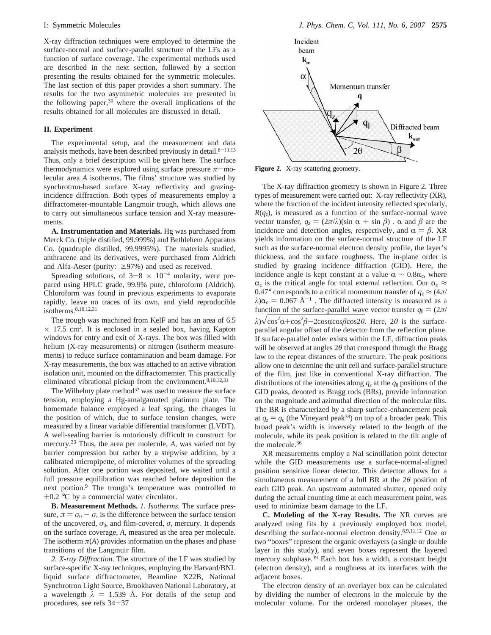X-ray diffraction techniques were employed to determine the surface-normal and surface-parallel structure of the LFs as a function of surface coverage. The experimental methods used are described in the next section, followed by a section presenting the results obtained for the symmetric molecules. The last section of this paper provides a short summary. The results for the two asymmetric molecules are presented in the following paper,30 where the overall implications of the results obtained for all molecules are discussed in detail.

#### **II. Experiment**

The experimental setup, and the measurement and data analysis methods, have been described previously in detail. $8-11,13$ Thus, only a brief description will be given here. The surface thermodynamics were explored using surface pressure  $\pi$ -molecular area *A* isotherms. The films' structure was studied by synchrotron-based surface X-ray reflectivity and grazingincidence diffraction. Both types of measurements employ a diffractometer-mountable Langmuir trough, which allows one to carry out simultaneous surface tension and X-ray measurements.

**A. Instrumentation and Materials.** Hg was purchased from Merck Co. (triple distilled, 99.999%) and Bethlehem Apparatus Co. (quadruple distilled, 99.9995%). The materials studied, anthracene and its derivatives, were purchased from Aldrich and Alfa-Aeser (purity:  $\geq$ 97%) and used as received.

Spreading solutions, of  $3-8 \times 10^{-4}$  molarity, were prepared using HPLC grade, 99.9% pure, chloroform (Aldrich). Chloroform was found in previous experiments to evaporate rapidly, leave no traces of its own, and yield reproducible isotherms.8,10,12,31

The trough was machined from KelF and has an area of 6.5  $\times$  17.5 cm<sup>2</sup>. It is enclosed in a sealed box, having Kapton windows for entry and exit of X-rays. The box was filled with helium (X-ray measurements) or nitrogen (isotherm measurements) to reduce surface contamination and beam damage. For X-ray measurements, the box was attached to an active vibration isolation unit, mounted on the diffractomemter. This practically eliminated vibrational pickup from the environment.<sup>8,10,12,31</sup>

The Wilhelmy plate method $32$  was used to measure the surface tension, employing a Hg-amalgamated platinum plate. The homemade balance employed a leaf spring, the changes in the position of which, due to surface tension changes, were measured by a linear variable differential transformer (LVDT). A well-sealing barrier is notoriously difficult to construct for mercury.33 Thus, the area per molecule, *A*, was varied not by barrier compression but rather by a stepwise addition, by a calibrated micropipette, of microliter volumes of the spreading solution. After one portion was deposited, we waited until a full pressure equilibration was reached before deposition the next portion.9 The trough's temperature was controlled to  $\pm 0.2$  °C by a commercial water circulator.

**B. Measurement Methods.** *1. Isotherms.* The surface pressure,  $\pi = \sigma_0 - \sigma$ , is the difference between the surface tension of the uncovered, *σ*0, and film-covered, *σ*, mercury. It depends on the surface coverage, *A*, measured as the area per molecule. The isotherm  $\pi(A)$  provides information on the phases and phase transitions of the Langmuir film.

*2. X-ray Diffraction.* The structure of the LF was studied by surface-specific X-ray techniques, employing the Harvard/BNL liquid surface diffractometer, Beamline X22B, National Synchrotron Light Source, Brookhaven National Laboratory, at a wavelength  $\lambda = 1.539$  Å. For details of the setup and procedures, see refs 34-<sup>37</sup>



Figure 2. X-ray scattering geometry.

The X-ray diffraction geometry is shown in Figure 2. Three types of measurement were carried out: X-ray reflectivity (XR), where the fraction of the incident intensity reflected specularly,  $R(q<sub>z</sub>)$ , is measured as a function of the surface-normal wave vector transfer,  $q_z = (2\pi/\lambda)(\sin \alpha + \sin \beta)$ .  $\alpha$  and  $\beta$  are the incidence and detection angles, respectively, and  $\alpha = \beta$ . XR yields information on the surface-normal structure of the LF such as the surface-normal electron density profile, the layer's thickness, and the surface roughness. The in-plane order is studied by grazing incidence diffraction (GID). Here, the incidence angle is kept constant at a value  $\alpha \sim 0.8\alpha_c$ , where  $\alpha_c$  is the critical angle for total external reflection. Our  $\alpha_c \approx$ 0.47° corresponds to a critical momentum transfer of  $q_c \approx (4\pi)$  $\lambda$ ) $\alpha$ <sub>c</sub> = 0.067 Å<sup>-1</sup>. The diffracted intensity is measured as a function of the surface-parallel wave vector transfer  $q_{\parallel} = (2\pi/$  $λ)$  $\sqrt{\cos^2 \alpha + \cos^2 \beta - 2\cos \alpha \cos \beta \cos 2\theta}$ . Here, 2*θ* is the surface-<br>parallel angular offset of the detector from the reflection plane parallel angular offset of the detector from the reflection plane. If surface-parallel order exists within the LF, diffraction peaks will be observed at angles 2*θ* that correspond through the Bragg law to the repeat distances of the structure. The peak positions allow one to determine the unit cell and surface-parallel structure of the film, just like in conventional X-ray diffraction. The distributions of the intensities along  $q_z$  at the  $q_{\parallel}$  positions of the GID peaks, denoted as Bragg rods (BRs), provide information on the magnitude and azimuthal direction of the molecular tilts. The BR is characterized by a sharp surface-enhancement peak at  $q_z = q_c$  (the Vineyard peak<sup>38</sup>) on top of a broader peak. This broad peak's width is inversely related to the length of the molecule, while its peak position is related to the tilt angle of the molecule.<sup>36</sup>

XR measurements employ a NaI scintillation point detector while the GID measurements use a surface-normal-aligned position sensitive linear detector. This detector allows for a simultaneous measurement of a full BR at the 2*θ* position of each GID peak. An upstream automated shutter, opened only during the actual counting time at each measurement point, was used to minimize beam damage to the LF.

**C. Modeling of the X-ray Results.** The XR curves are analyzed using fits by a previously employed box model, describing the surface-normal electron density.8,9,11,12 One or two "boxes" represent the organic overlayers (a single or double layer in this study), and seven boxes represent the layered mercury subphase.39 Each box has a width, a constant height (electron density), and a roughness at its interfaces with the adjacent boxes.

The electron density of an overlayer box can be calculated by dividing the number of electrons in the molecule by the molecular volume. For the ordered monolayer phases, the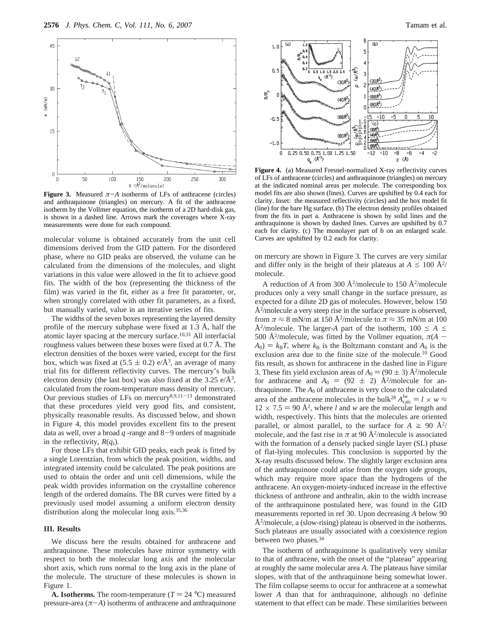

**Figure 3.** Measured  $\pi$ -*A* isotherms of LFs of anthracene (circles) and anthraquinone (triangles) on mercury. A fit of the anthracene isotherm by the Vollmer equation, the isotherm of a 2D hard-disk gas, is shown in a dashed line. Arrows mark the coverages where X-ray measurements were done for each compound.

molecular volume is obtained accurately from the unit cell dimensions derived from the GID pattern. For the disordered phase, where no GID peaks are observed, the volume can be calculated from the dimensions of the molecules, and slight variations in this value were allowed in the fit to achieve good fits. The width of the box (representing the thickness of the film) was varied in the fit, either as a free fit parameter, or, when strongly correlated with other fit parameters, as a fixed, but manually varied, value in an iterative series of fits.

The widths of the seven boxes representing the layered density profile of the mercury subphase were fixed at 1.3 Å, half the atomic layer spacing at the mercury surface.10,31 All interfacial roughness values between these boxes were fixed at 0.7 Å. The electron densities of the boxes were varied, except for the first box, which was fixed at  $(5.5 \pm 0.2)$  e/Å<sup>3</sup>, an average of many trial fits for different reflectivity curves. The mercury's bulk electron density (the last box) was also fixed at the 3.25  $e/\text{\AA}^3$ , calculated from the room-temperature mass density of mercury. Our previous studies of LFs on mercury<sup>8,9,11-13</sup> demonstrated that these procedures yield very good fits, and consistent, physically reasonable results. As discussed below, and shown in Figure 4, this model provides excellent fits to the present data as well, over a broad  $q$ -range and  $8-9$  orders of magnitude in the reflectivity,  $R(q_z)$ .

For those LFs that exhibit GID peaks, each peak is fitted by a single Lorentzian, from which the peak position, widths, and integrated intensity could be calculated. The peak positions are used to obtain the order and unit cell dimensions, while the peak width provides information on the crystalline coherence length of the ordered domains. The BR curves were fitted by a previously used model assuming a uniform electron density distribution along the molecular long axis.35,36

## **III. Results**

We discuss here the results obtained for anthracene and anthraquinone. These molecules have mirror symmetry with respect to both the molecular long axis and the molecular short axis, which runs normal to the long axis in the plane of the molecule. The structure of these molecules is shown in Figure 1.

**A. Isotherms.** The room-temperature ( $T = 24$  °C) measured pressure-area  $(π–A)$  isotherms of anthracene and anthraquinone



**Figure 4.** (a) Measured Fresnel-normalized X-ray reflectivity curves of LFs of anthracene (circles) and anthraquinone (triangles) on mercury at the indicated nominal areas per molecule. The corresponding box model fits are also shown (lines). Curves are upshifted by 0.4 each for clarity. Inset: the measured reflectivity (circles) and the box model fit (line) for the bare Hg surface. (b) The electron density profiles obtained from the fits in part a. Anthracene is shown by solid lines and the anthraquinone is shown by dashed lines. Curves are upshifted by 0.7 each for clarity. (c) The monolayer part of b on an enlarged scale. Curves are upshifted by 0.2 each for clarity.

on mercury are shown in Figure 3. The curves are very similar and differ only in the height of their plateaus at  $A \leq 100 \text{ Å}^2$ / molecule.

A reduction of *A* from 300 Å2/molecule to 150 Å2/molecule produces only a very small change in the surface pressure, as expected for a dilute 2D gas of molecules. However, below 150  $A<sup>2</sup>/molecule$  a very steep rise in the surface pressure is observed, from  $\pi \approx 8$  mN/m at 150 Å<sup>2</sup>/molecule to  $\pi \approx 35$  mN/m at 100  $\rm A^2$ /molecule. The larger-*A* part of the isotherm,  $100 \leq A \leq$ 500 Å<sup>2</sup>/molecule, was fitted by the Vollmer equation,  $\pi(A A_0$  =  $k_B T$ , where  $k_B$  is the Boltzmann constant and  $A_0$  is the exclusion area due to the finite size of the molecule.<sup>10</sup> Good fits result, as shown for anthracene in the dashed line in Figure 3. These fits yield exclusion areas of  $A_0 = (90 \pm 3)$  Å<sup>2</sup>/molecule for anthracene and  $A_0 = (92 \pm 2)$  Å<sup>2</sup>/molecule for anthraquinone. The *A*<sup>0</sup> of anthracene is very close to the calculated area of the anthracene molecules in the bulk<sup>28</sup>  $A_{\text{calc}}^{\text{lw}} = l \times w \approx$ <br>12 × 7.5 = 90 Å<sup>2</sup> where *l* and *w* are the molecular length and  $12 \times 7.5 = 90 \text{ Å}^2$ , where *l* and *w* are the molecular length and width, respectively. This hints that the molecules are oriented parallel, or almost parallel, to the surface for  $A \ge 90 \text{ Å}^2$ molecule, and the fast rise in  $\pi$  at 90 Å<sup>2</sup>/molecule is associated with the formation of a densely packed single layer (SL) phase of flat-lying molecules. This conclusion is supported by the X-ray results discussed below. The slightly larger exclusion area of the anthraquinone could arise from the oxygen side groups, which may require more space than the hydrogens of the anthracene. An oxygen-moiety-induced increase in the effective thickness of anthrone and anthralin, akin to the width increase of the anthraquinone postulated here, was found in the GID measurements reported in ref 30. Upon decreasing *A* below 90 Å2/molecule, a (slow-rising) plateau is observed in the isotherms. Such plateaus are usually associated with a coexistence region between two phases.34

The isotherm of anthraquinone is qualitatively very similar to that of anthracene, with the onset of the "plateau" appearing at roughly the same molecular area *A*. The plateaus have similar slopes, with that of the anthraquinone being somewhat lower. The film collapse seems to occur for anthracene at a somewhat lower *A* than that for anthraquinone, although no definite statement to that effect can be made. These similarities between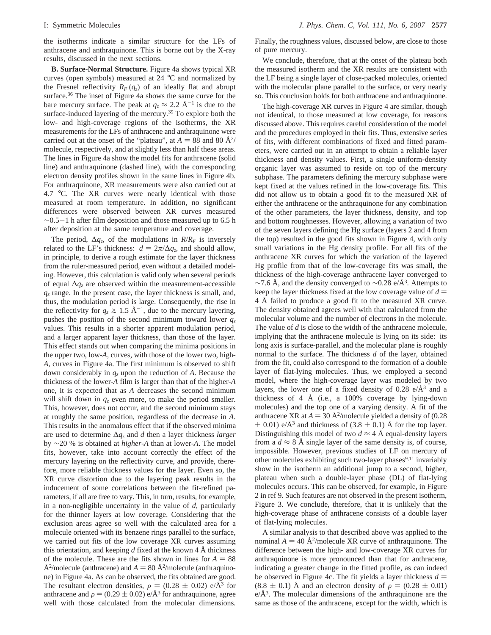the isotherms indicate a similar structure for the LFs of anthracene and anthraquinone. This is borne out by the X-ray results, discussed in the next sections.

**B. Surface-Normal Structure.** Figure 4a shows typical XR curves (open symbols) measured at 24 °C and normalized by the Fresnel reflectivity  $R_F(q_z)$  of an ideally flat and abrupt surface.<sup>36</sup> The inset of Figure 4a shows the same curve for the bare mercury surface. The peak at  $q_z \approx 2.2 \text{ Å}^{-1}$  is due to the surface-induced layering of the mercury.<sup>39</sup> To explore both the low- and high-coverage regions of the isotherms, the XR measurements for the LFs of anthracene and anthraquinone were carried out at the onset of the "plateau", at  $A = 88$  and 80  $\AA$ <sup>2</sup>/ molecule, respectively, and at slightly less than half these areas. The lines in Figure 4a show the model fits for anthracene (solid line) and anthraquinone (dashed line), with the corresponding electron density profiles shown in the same lines in Figure 4b. For anthraquinone, XR measurements were also carried out at 4.7 °C. The XR curves were nearly identical with those measured at room temperature. In addition, no significant differences were observed between XR curves measured  $\sim$ 0.5-1 h after film deposition and those measured up to 6.5 h after deposition at the same temperature and coverage.

The period,  $\Delta q_z$ , of the modulations in  $R/R_F$  is inversely related to the LF's thickness:  $d = 2\pi/\Delta q_z$ , and should allow, in principle, to derive a rough estimate for the layer thickness from the ruler-measured period, even without a detailed modeling. However, this calculation is valid only when several periods of equal ∆*qz* are observed within the measurement-accessible  $q<sub>z</sub>$  range. In the present case, the layer thickness is small, and, thus, the modulation period is large. Consequently, the rise in the reflectivity for  $q_z \ge 1.5$  Å<sup>-1</sup>, due to the mercury layering, pushes the position of the second minimum toward lower  $q_z$ values. This results in a shorter apparent modulation period, and a larger apparent layer thickness, than those of the layer. This effect stands out when comparing the minima positions in the upper two, low-*A*, curves, with those of the lower two, high-*A*, curves in Figure 4a. The first minimum is observed to shift down considerably in  $q_z$  upon the reduction of A. Because the thickness of the lower-*A* film is larger than that of the higher-*A* one, it is expected that as *A* decreases the second minimum will shift down in  $q_z$  even more, to make the period smaller. This, however, does not occur, and the second minimum stays at roughly the same position, regardless of the decrease in *A*. This results in the anomalous effect that if the observed minima are used to determine ∆*qz* and *d* then a layer thickness *larger* by ∼20 % is obtained at *higher*-*A* than at lower-*A*. The model fits, however, take into account correctly the effect of the mercury layering on the reflectivity curve, and provide, therefore, more reliable thickness values for the layer. Even so, the XR curve distortion due to the layering peak results in the inducement of some correlations between the fit-refined parameters, if all are free to vary. This, in turn, results, for example, in a non-negligible uncertainty in the value of *d*, particularly for the thinner layers at low coverage. Considering that the exclusion areas agree so well with the calculated area for a molecule oriented with its benzene rings parallel to the surface, we carried out fits of the low coverage XR curves assuming this orientation, and keeping *d* fixed at the known 4 Å thickness of the molecule. These are the fits shown in lines for  $A = 88$  $\AA^2$ /molecule (anthracene) and  $A = 80 \AA^2$ /molecule (anthraquinone) in Figure 4a. As can be observed, the fits obtained are good. The resultant electron densities,  $\rho = (0.28 \pm 0.02) e/Å^3$  for anthracene and  $\rho = (0.29 \pm 0.02) e/\text{\AA}^3$  for anthraquinone, agree well with those calculated from the molecular dimensions.

Finally, the roughness values, discussed below, are close to those of pure mercury.

We conclude, therefore, that at the onset of the plateau both the measured isotherm and the XR results are consistent with the LF being a single layer of close-packed molecules, oriented with the molecular plane parallel to the surface, or very nearly so. This conclusion holds for both anthracene and anthraquinone.

The high-coverage XR curves in Figure 4 are similar, though not identical, to those measured at low coverage, for reasons discussed above. This requires careful consideration of the model and the procedures employed in their fits. Thus, extensive series of fits, with different combinations of fixed and fitted parameters, were carried out in an attempt to obtain a reliable layer thickness and density values. First, a single uniform-density organic layer was assumed to reside on top of the mercury subphase. The parameters defining the mercury subphase were kept fixed at the values refined in the low-coverage fits. This did not allow us to obtain a good fit to the measured XR of either the anthracene or the anthraquinone for any combination of the other parameters, the layer thickness, density, and top and bottom roughnesses. However, allowing a variation of two of the seven layers defining the Hg surface (layers 2 and 4 from the top) resulted in the good fits shown in Figure 4, with only small variations in the Hg density profile. For all fits of the anthracene XR curves for which the variation of the layered Hg profile from that of the low-coverage fits was small, the thickness of the high-coverage anthracene layer converged to  $\sim$ 7.6 Å, and the density converged to  $\sim$ 0.28 e/Å<sup>3</sup>. Attempts to keep the layer thickness fixed at the low coverage value of  $d =$ 4 Å failed to produce a good fit to the measured XR curve. The density obtained agrees well with that calculated from the molecular volume and the number of electrons in the molecule. The value of *d* is close to the width of the anthracene molecule, implying that the anthracene molecule is lying on its side: its long axis is surface-parallel, and the molecular plane is roughly normal to the surface. The thickness *d* of the layer, obtained from the fit, could also correspond to the formation of a double layer of flat-lying molecules. Thus, we employed a second model, where the high-coverage layer was modeled by two layers, the lower one of a fixed density of  $0.28 \text{ e}/\text{\AA}^3$  and a thickness of 4  $\AA$  (i.e., a 100% coverage by lying-down molecules) and the top one of a varying density. A fit of the anthracene XR at  $A = 30 \text{ Å}^2/\text{molecule}$  yielded a density of (0.28)  $\pm$  0.01) e/Å<sup>3</sup> and thickness of (3.8  $\pm$  0.1) Å for the top layer. Distinguishing this model of two  $d \approx 4$  Å equal-density layers from a  $d \approx 8$  Å single layer of the same density is, of course, impossible. However, previous studies of LF on mercury of other molecules exhibiting such two-layer phases<sup>9,11</sup> invariably show in the isotherm an additional jump to a second, higher, plateau when such a double-layer phase (DL) of flat-lying molecules occurs. This can be observed, for example, in Figure 2 in ref 9. Such features are not observed in the present isotherm, Figure 3. We conclude, therefore, that it is unlikely that the high-coverage phase of anthracene consists of a double layer of flat-lying molecules.

A similar analysis to that described above was applied to the nominal  $A = 40 \text{ Å}^2/\text{molecule } XR$  curve of anthraquinone. The difference between the high- and low-coverage XR curves for anthraquinone is more pronounced than that for anthracene, indicating a greater change in the fitted profile, as can indeed be observed in Figure 4c. The fit yields a layer thickness  $d =$  $(8.8 \pm 0.1)$  Å and an electron density of  $\rho = (0.28 \pm 0.01)$  $e/\AA$ <sup>3</sup>. The molecular dimensions of the anthraquinone are the same as those of the anthracene, except for the width, which is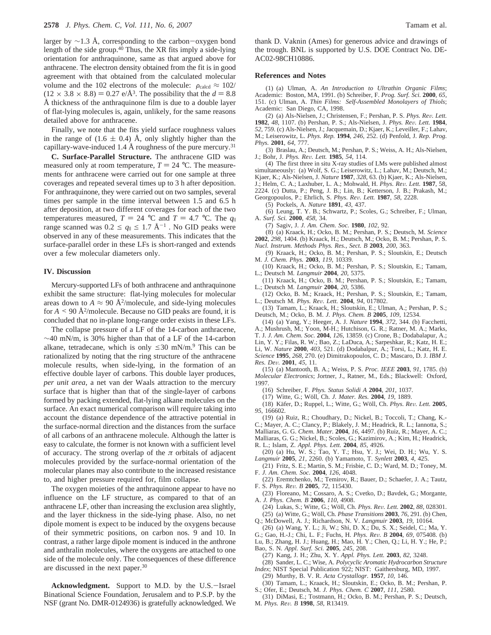larger by <sup>∼</sup>1.3 Å, corresponding to the carbon-oxygen bond length of the side group.40 Thus, the XR fits imply a side-lying orientation for anthraquinone, same as that argued above for anthracene. The electron density obtained from the fit is in good agreement with that obtained from the calculated molecular volume and the 102 electrons of the molecule:  $\rho_{\text{calcd}} \approx 102/$  $(12 \times 3.8 \times 8.8) = 0.27 \text{ e}/\text{\AA}^3$ . The possibility that the  $d = 8.8$ Å thickness of the anthraquinone film is due to a double layer of flat-lying molecules is, again, unlikely, for the same reasons detailed above for anthracene.

Finally, we note that the fits yield surface roughness values in the range of  $(1.6 \pm 0.4)$  Å, only slightly higher than the capillary-wave-induced 1.4 Å roughness of the pure mercury.<sup>31</sup>

**C. Surface-Parallel Structure.** The anthracene GID was measured only at room temperature,  $T = 24$  °C. The measurements for anthracene were carried out for one sample at three coverages and repeated several times up to 3 h after deposition. For anthraquinone, they were carried out on two samples, several times per sample in the time interval between 1.5 and 6.5 h after deposition, at two different coverages for each of the two temperatures measured,  $T = 24$  °C and  $T = 4.7$  °C. The  $q_{\parallel}$ range scanned was  $0.2 \le q_{\parallel} \le 1.7 \text{ Å}^{-1}$ . No GID peaks were observed in any of these measurements. This indicates that the surface-parallel order in these LFs is short-ranged and extends over a few molecular diameters only.

#### **IV. Discussion**

Mercury-supported LFs of both anthracene and anthraquinone exhibit the same structure: flat-lying molecules for molecular areas down to  $A \approx 90 \text{ Å}^2/\text{molecule}$ , and side-lying molecules for  $A \leq 90 \text{ Å}^2/\text{molecule}$ . Because no GID peaks are found, it is concluded that no in-plane long-range order exists in these LFs.

The collapse pressure of a LF of the 14-carbon anthracene, ∼40 mN/m, is 30% higher than that of a LF of the 14-carbon alkane, tetradecane, which is only  $\leq 30$  mN/m.<sup>9</sup> This can be rationalized by noting that the ring structure of the anthracene molecule results, when side-lying, in the formation of an effective double layer of carbons. This double layer produces, *per unit area*, a net van der Waals attraction to the mercury surface that is higher than that of the single-layer of carbons formed by packing extended, flat-lying alkane molecules on the surface. An exact numerical comparison will require taking into account the distance dependence of the attractive potential in the surface-normal direction and the distances from the surface of all carbons of an anthracene molecule. Although the latter is easy to calculate, the former is not known with a sufficient level of accuracy. The strong overlap of the *π* orbitals of adjacent molecules provided by the surface-normal orientation of the molecular planes may also contribute to the increased resistance to, and higher pressure required for, film collapse.

The oxygen moieties of the anthraquinone appear to have no influence on the LF structure, as compared to that of an anthracene LF, other than increasing the exclusion area slightly, and the layer thickness in the side-lying phase. Also, no net dipole moment is expect to be induced by the oxygens because of their symmetric positions, on carbon nos. 9 and 10. In contrast, a rather large dipole moment is induced in the anthrone and anthralin molecules, where the oxygens are attached to one side of the molecule only. The consequences of these difference are discussed in the next paper.30

**Acknowledgment.** Support to M.D. by the U.S.-Israel Binational Science Foundation, Jerusalem and to P.S.P. by the NSF (grant No. DMR-0124936) is gratefully acknowledged. We thank D. Vaknin (Ames) for generous advice and drawings of the trough. BNL is supported by U.S. DOE Contract No. DE-AC02-98CH10886.

#### **References and Notes**

(1) (a) Ulman, A. *An Introduction to Ultrathin Organic Films*; Academic: Boston, MA, 1991. (b) Schreiber, F. *Prog. Surf. Sci.* **2000**, *65*, 151. (c) Ulman, A. *Thin Films: Self-Assembled Monolayers of Thiols*; Academic: San Diego, CA, 1998.

(2) (a) Als-Nielsen, J.; Christensen, F.; Pershan, P. S. *Phys. Re*V*. Lett.* **<sup>1982</sup>**, *<sup>48</sup>*, 1107. (b) Pershan, P. S.; Als-Nielsen, J. *Phys. Re*V*. Lett.* **<sup>1984</sup>**, *52*, 759. (c) Als-Nielsen, J.; Jacquemain, D.; Kjaer, K.; Leveiller, F.; Lahav, M.; Leiserowitz, L. *Phys. Rep.* **1994**, *246*, 252. (d) Penfold, J. *Rep. Prog. Phys.* **2001**, *64*, 777.

(3) Braslau, A.; Deutsch, M.; Pershan, P. S.; Weiss, A. H.; Als-Nielsen, J.; Bohr, J. *Phys. Re*V*. Lett.* **<sup>1985</sup>**, *<sup>54</sup>*, 114.

(4) The first three in situ X-ray studies of LMs were published almost simultaneously: (a) Wolf, S. G.; Leiserowitz, L.; Lahav, M.; Deutsch, M.; Kjaer, K.; Als-Nielsen, J. *Nature* **1987**, *328*, 63. (b) Kjaer, K.; Als-Nielsen, J.; Helm, C. A.; Laxhuber, L. A.; Mohwald, H. *Phys. Re*V*. Lett.* **<sup>1987</sup>**, 58, 2224. (c) Dutta, P.; Peng, J. B.; Lin, B.; Ketterson, J. B.; Prakash, M.; Georgopoulos, P.; Ehrlich, S. *Phys. Re*V*. Lett.* **<sup>1987</sup>**, *<sup>58</sup>*, 2228.

(5) Pockels, A. *Nature* **1891**, *43*, 437.

(6) Leung, T. Y. B.; Schwartz, P.; Scoles, G.; Schreiber, F.; Ulman, A. *Surf. Sci.* **2000**, *458*, 34.

(7) Sagiv, J. *J. Am. Chem. Soc.* **1980**, *102*, 92.

(8) (a) Kraack, H.; Ocko, B. M.; Pershan, P. S.; Deutsch, M. *Science* **2002**, *298*, 1404. (b) Kraack, H.; Deutsch, M.; Ocko, B. M.; Pershan, P. S. *Nucl. Instrum. Methods Phys. Res., Sect. B* **2003**, *200*, 363.

(9) Kraack, H.; Ocko, B. M.; Pershan, P. S.; Sloutskin, E.; Deutsch M. *J. Chem. Phys.* **2003**, *119*, 10339.

(10) Kraack, H.; Ocko, B. M.; Pershan, P. S.; Sloutskin, E.; Tamam, L.; Deutsch M. *Langmuir* **2004**, *20*, 5375.

(11) Kraack, H.; Ocko, B. M.; Pershan, P. S.; Sloutskin, E.; Tamam, L.; Deutsch M. *Langmuir* **2004**, *20*, 5386.

(12) Ocko, B. M.; Kraack, H.; Pershan, P. S.; Sloutskin, E.; Tamam, L.; Deutsch M. *Phys. Re*V*. Lett.* **<sup>2004</sup>**, *<sup>94</sup>*, 017802.

(13) Tamam, L.; Kraack, H.; Sloutskin, E.; Ulman, A.; Pershan, P. S.; Deutsch, M.; Ocko, B. M. *J. Phys. Chem. B* **2005**, *109*, 12534.

(14) (a) Yang, Y.; Heeger, A. J. *Nature* **1994**, *372*, 344. (b) Facchetti, A.; Mushrush, M.; Yoon, M-H.; Hutchison, G. R.; Ratner, M. A.; Marks, T. J. *J. Am. Chem. Soc.* **2004**, *126*, 13859. (c) Crone, B.; Dodabalapur, A.; Lin, Y. Y.; Filas, R. W.; Bao, Z.; LaDuca, A.; Sarpeshkar, R.; Katz, H. E.; Li, W. *Nature* **2000**, *403*, 521. (d) Dodabalpur, A.; Torsi, L.; Katz, H. E. *Science* **1995**, *268*, 270. (e) Dimitrakopoulos, C. D.; Mascaro, D. J. *IBM J. Res. De*V*.* **<sup>2001</sup>**, *<sup>45</sup>*, 11.

(15) (a) Mantooth, B. A.; Weiss, P. S. *Proc. IEEE* **2003**, *91*, 1785. (b) *Molecular Electronics*; Jortner, J., Ratner, M., Eds.; Blackwell: Oxford, 1997.

(16) Schreiber, F. *Phys. Status Solidi A* **2004**, *201*, 1037.

(17) Witte, G.; Wo¨ll, Ch. *J. Mater. Res.* **2004**, *19*, 1889.

(18) Ka¨fer, D.; Ruppel, L.; Witte, G.; Wo¨ll, Ch. *Phys. Re*V*. Lett.* **<sup>2005</sup>**, *95*, 166602.

(19) (a) Ruiz, R.; Choudhary, D.; Nickel, B.; Toccoli, T.; Chang, K.- C.; Mayer, A. C.; Clancy, P.; Blakely, J. M.; Headrick, R. L.; Iannotta, S.; Malliaras, G. G. *Chem. Mater.* **2004**, *16*, 4497. (b) Ruiz, R.; Mayer, A. C.; Malliaras, G. G.; Nickel, B.; Scoles, G.; Kazimirov, A.; Kim, H.; Headrick,

R. L.; Islam, Z. *Appl. Phys. Lett.* **2004**, *85*, 4926.

(20) (a) Hu, W. S.; Tao, Y. T.; Hsu, Y. J.; Wei, D. H.; Wu, Y. S. *Langmuir* **2005**, *21*, 2260. (b) Yamamoto, T. *Synlett* **2003**, *4*, 425.

(21) Fritz, S. E.; Martin, S. M.; Frisbie, C. D.; Ward, M. D.; Toney, M. F. *J. Am. Chem. Soc.* **2004**, *126*, 4048.

(22) Eremtchenko, M.; Temirov, R.; Bauer, D.; Schaefer, J. A.; Tautz, F. S. *Phys. Re*V*. B* **<sup>2005</sup>**, *<sup>72</sup>*, 115430.

(23) Floreano, M.; Cossaro, A. S.; Cvetko, D.; Bavdek, G.; Morgante, A. *J. Phys. Chem. B* **2006**, *110*, 4908.

(24) Lukas, S.; Witte, G.; Wo¨ll, Ch. *Phys. Re*V*. Lett.* **<sup>2002</sup>**, *<sup>88</sup>*, 028301. (25) (a) Witte, G.; Wo¨ll, Ch. *Phase Transitions* **2003**, *76*, 291. (b) Chen, Q.; McDowell, A. J.; Richardson, N. V. *Langmuir* **2003**, *19*, 10164.

(26) (a) Wang, Y. L.; Ji, W.; Shi, D. X.; Du, S. X.; Seidel, C.; Ma, Y.

G.; Gao, H.-J.; Chi, L. F.; Fuchs, H. *Phys. Re*V*. B* **<sup>2004</sup>**, *<sup>69</sup>*, 075408. (b) Lu, B.; Zhang, H. J.; Huang, H.; Mao, H. Y.; Chen, Q.; Li, H. Y.; He, P.; Bao, S. N. *Appl. Surf. Sci.* **2005**, *245*, 208.

(27) Kang, J. H.; Zhu, X. Y. *Appl. Phys. Lett.* **2003**, *82*, 3248.

(28) Sander, L. C.; Wise, A. *Polycyclic Aromatic Hydrocarbon Structure*

*Index*; NIST Special Publication 922; NIST: Gaithersburg, MD, 1997. (29) Murthy, B. V. R. *Acta Crystallogr.* **1957**, *10*, 146.

(30) Tamam, L.; Kraack, H.; Sloutskin, E.; Ocko, B. M.; Pershan, P. S.; Ofer, E.; Deutsch, M. *J. Phys. Chem. C* **2007**, *111*, 2580.

(31) DiMasi, E.; Tostmann, H.; Ocko, B. M.; Pershan, P. S.; Deutsch, M. *Phys. Re*V*. B* **<sup>1998</sup>**, *<sup>58</sup>*, R13419.